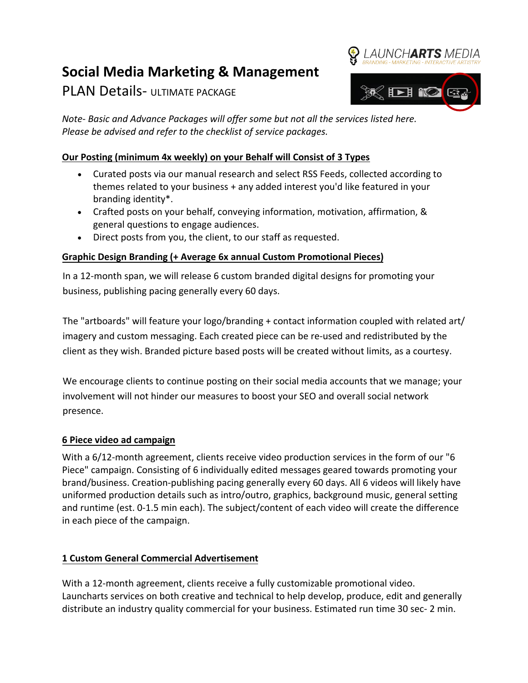# **Social Media Marketing & Management**

PLAN Details- ULTIMATE PACKAGE



*Note- Basic and Advance Packages will offer some but not all the services listed here. Please be advised and refer to the checklist of service packages.*

# **Our Posting (minimum 4x weekly) on your Behalf will Consist of 3 Types**

- Curated posts via our manual research and select RSS Feeds, collected according to themes related to your business + any added interest you'd like featured in your branding identity\*.
- Crafted posts on your behalf, conveying information, motivation, affirmation, & general questions to engage audiences.
- Direct posts from you, the client, to our staff as requested.

# **Graphic Design Branding (+ Average 6x annual Custom Promotional Pieces)**

In a 12-month span, we will release 6 custom branded digital designs for promoting your business, publishing pacing generally every 60 days.

The "artboards" will feature your logo/branding + contact information coupled with related art/ imagery and custom messaging. Each created piece can be re-used and redistributed by the client as they wish. Branded picture based posts will be created without limits, as a courtesy.

We encourage clients to continue posting on their social media accounts that we manage; your involvement will not hinder our measures to boost your SEO and overall social network presence.

# **6 Piece video ad campaign**

With a 6/12-month agreement, clients receive video production services in the form of our "6 Piece" campaign. Consisting of 6 individually edited messages geared towards promoting your brand/business. Creation-publishing pacing generally every 60 days. All 6 videos will likely have uniformed production details such as intro/outro, graphics, background music, general setting and runtime (est. 0-1.5 min each). The subject/content of each video will create the difference in each piece of the campaign.

# **1 Custom General Commercial Advertisement**

With a 12-month agreement, clients receive a fully customizable promotional video. Launcharts services on both creative and technical to help develop, produce, edit and generally distribute an industry quality commercial for your business. Estimated run time 30 sec- 2 min.